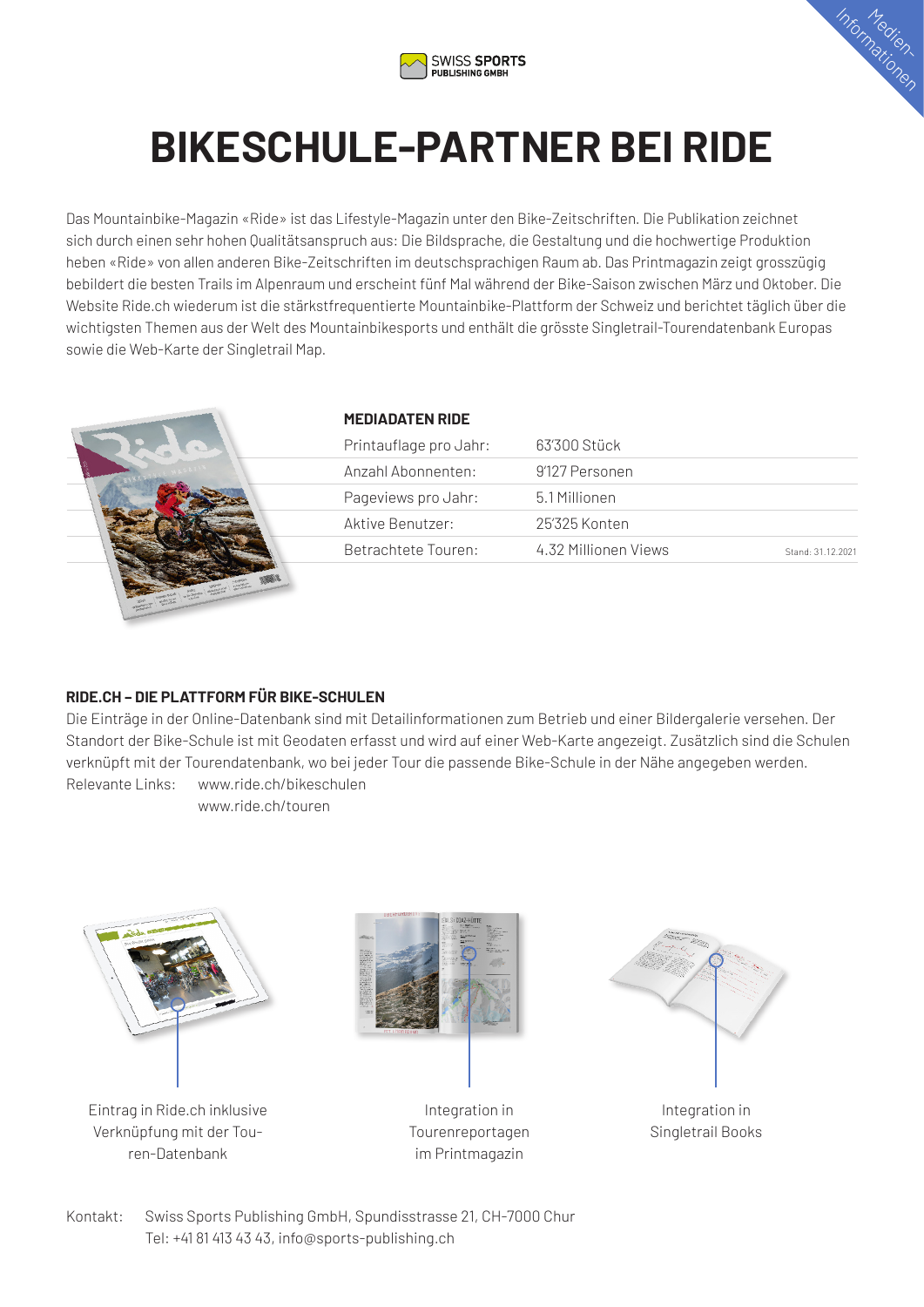



## **BIKESCHULE-PARTNER BEI RIDE**

Das Mountainbike-Magazin «Ride» ist das Lifestyle-Magazin unter den Bike-Zeitschriften. Die Publikation zeichnet sich durch einen sehr hohen Qualitätsanspruch aus: Die Bildsprache, die Gestaltung und die hochwertige Produktion heben «Ride» von allen anderen Bike-Zeitschriften im deutschsprachigen Raum ab. Das Printmagazin zeigt grosszügig bebildert die besten Trails im Alpenraum und erscheint fünf Mal während der Bike-Saison zwischen März und Oktober. Die Website Ride.ch wiederum ist die stärkstfrequentierte Mountainbike-Plattform der Schweiz und berichtet täglich über die wichtigsten Themen aus der Welt des Mountainbikesports und enthält die grösste Singletrail-Tourendatenbank Europas sowie die Web-Karte der Singletrail Map.



### **MEDIADATEN RIDE**

| Printauflage pro Jahr: | 63′300 Stück         |                   |
|------------------------|----------------------|-------------------|
| Anzahl Abonnenten:     | 9'127 Personen       |                   |
| Pageviews pro Jahr:    | 5.1 Millionen        |                   |
| Aktive Benutzer:       | 25'325 Konten        |                   |
| Betrachtete Touren:    | 4.32 Millionen Views | Stand: 31 12 2021 |

### **RIDE.CH – DIE PLATTFORM FÜR BIKE-SCHULEN**

Die Einträge in der Online-Datenbank sind mit Detailinformationen zum Betrieb und einer Bildergalerie versehen. Der Standort der Bike-Schule ist mit Geodaten erfasst und wird auf einer Web-Karte angezeigt. Zusätzlich sind die Schulen verknüpft mit der Tourendatenbank, wo bei jeder Tour die passende Bike-Schule in der Nähe angegeben werden. Relevante Links: www.ride.ch/bikeschulen

www.ride.ch/touren



Eintrag in Ride.ch inklusive Verknüpfung mit der Touren-Datenbank



Integration in Tourenreportagen im Printmagazin



Integration in Singletrail Books

Kontakt: Swiss Sports Publishing GmbH, Spundisstrasse 21, CH-7000 Chur Tel: +41 81 413 43 43, info@sports-publishing.ch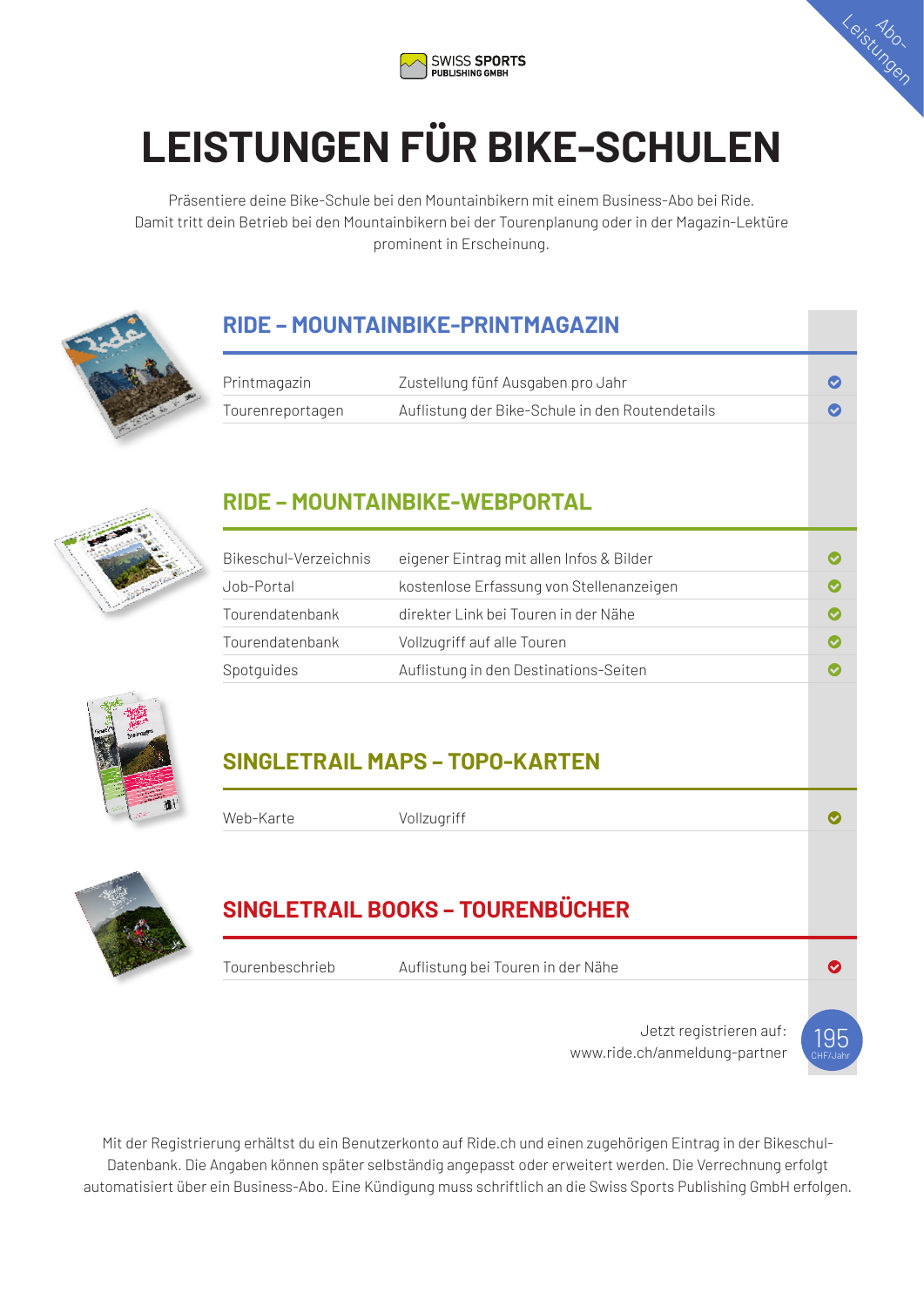



# **LEISTUNGEN FÜR BIKE-SCHULEN**

Präsentiere deine Bike-Schule bei den Mountainbikern mit einem Business-Abo bei Ride. Damit tritt dein Betrieb bei den Mountainbikern bei der Tourenplanung oder in der Magazin-Lektüre prominent in Erscheinung.



## **RIDE – MOUNTAINBIKE-PRINTMAGAZIN**

| Printmagazin     | Zustellung fünf Ausgaben pro Jahr               |  |
|------------------|-------------------------------------------------|--|
| Tourenreportagen | Auflistung der Bike-Schule in den Routendetails |  |



## **RIDE – MOUNTAINBIKE-WEBPORTAL**

| Bikeschul-Verzeichnis | eigener Eintrag mit allen Infos & Bilder |  |
|-----------------------|------------------------------------------|--|
| Job-Portal            | kostenlose Erfassung von Stellenanzeigen |  |
| Tourendatenbank       | direkter Link bei Touren in der Nähe     |  |
| Tourendatenbank       | Vollzugriff auf alle Touren              |  |
| Spotquides            | Auflistung in den Destinations-Seiten    |  |



## **SINGLETRAIL MAPS – TOPO-KARTEN**

| Web-Karte       | Vollzugriff                             |
|-----------------|-----------------------------------------|
|                 |                                         |
|                 | <b>SINGLETRAIL BOOKS - TOURENBÜCHER</b> |
|                 |                                         |
| Tourenbeschrieb | Auflistung bei Touren in der Nähe       |
|                 |                                         |
|                 |                                         |

Mit der Registrierung erhältst du ein Benutzerkonto auf Ride.ch und einen zugehörigen Eintrag in der Bikeschul-Datenbank. Die Angaben können später selbständig angepasst oder erweitert werden. Die Verrechnung erfolgt automatisiert über ein Business-Abo. Eine Kündigung muss schriftlich an die Swiss Sports Publishing GmbH erfolgen.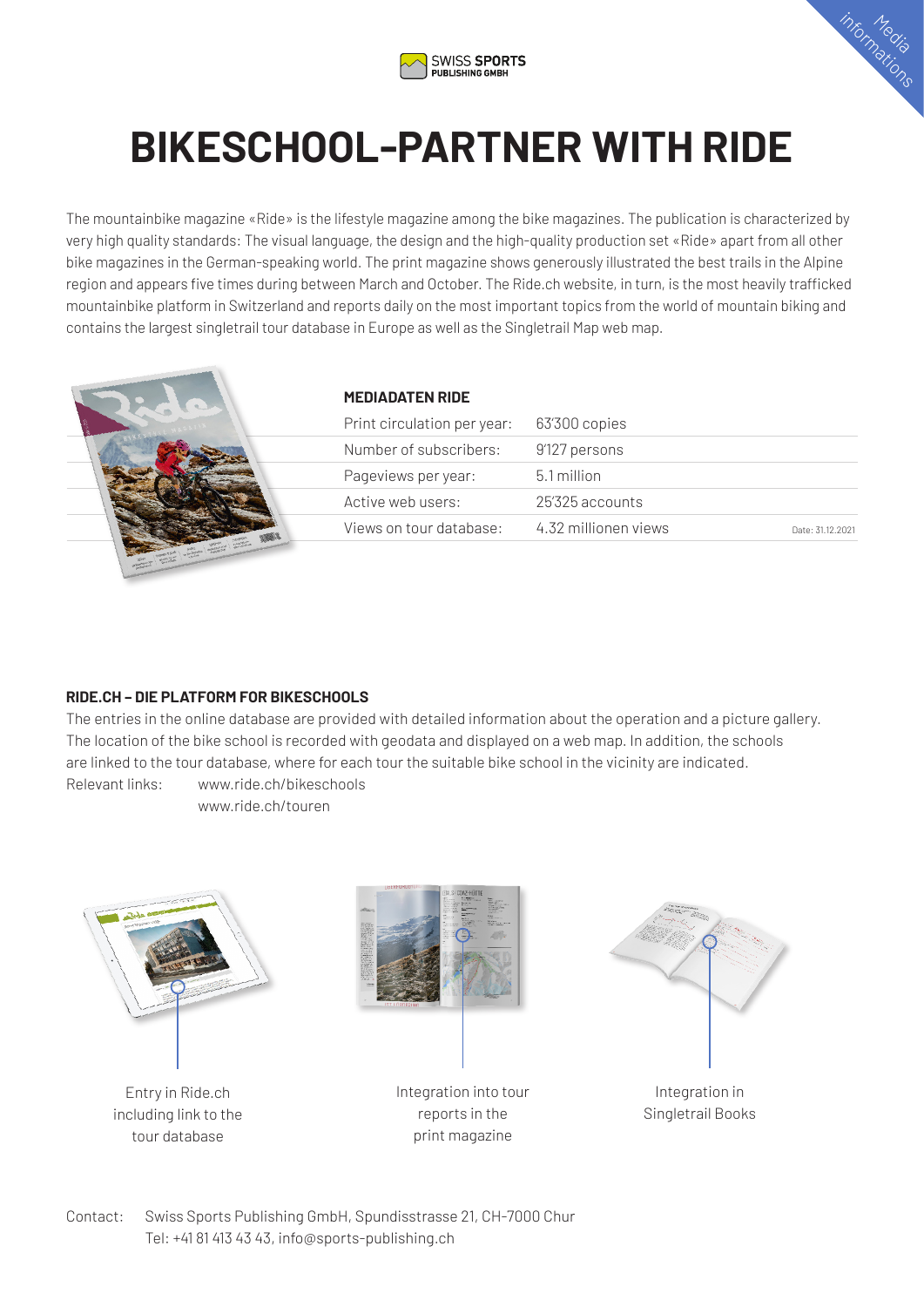



## **BIKESCHOOL-PARTNER WITH RIDE**

The mountainbike magazine «Ride» is the lifestyle magazine among the bike magazines. The publication is characterized by very high quality standards: The visual language, the design and the high-quality production set «Ride» apart from all other bike magazines in the German-speaking world. The print magazine shows generously illustrated the best trails in the Alpine region and appears five times during between March and October. The Ride.ch website, in turn, is the most heavily trafficked mountainbike platform in Switzerland and reports daily on the most important topics from the world of mountain biking and contains the largest singletrail tour database in Europe as well as the Singletrail Map web map.



### **MEDIADATEN RIDE**

| Print circulation per year: | 63'300 copies        |                  |
|-----------------------------|----------------------|------------------|
| Number of subscribers:      | 9'127 persons        |                  |
| Pageviews per year:         | 5.1 million          |                  |
| Active web users:           | 25325 accounts       |                  |
| Views on tour database:     | 4.32 millionen views | Date: 31 12 2021 |

### **RIDE.CH – DIE PLATFORM FOR BIKESCHOOLS**

The entries in the online database are provided with detailed information about the operation and a picture gallery. The location of the bike school is recorded with geodata and displayed on a web map. In addition, the schools are linked to the tour database, where for each tour the suitable bike school in the vicinity are indicated. Relevant links: www.ride.ch/bikeschools

www.ride.ch/touren



Entry in Ride.ch including link to the tour database



Integration into tour reports in the print magazine



Integration in Singletrail Books